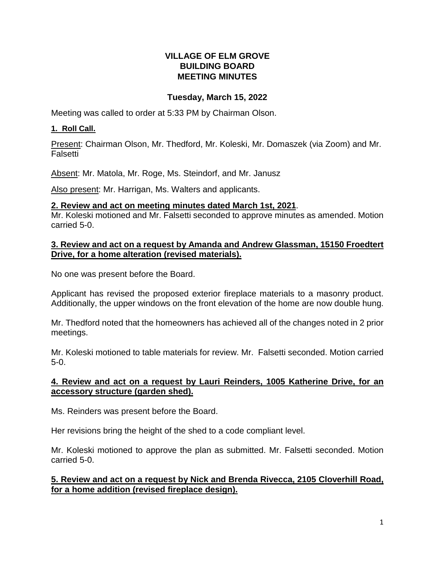### **VILLAGE OF ELM GROVE BUILDING BOARD MEETING MINUTES**

### **Tuesday, March 15, 2022**

Meeting was called to order at 5:33 PM by Chairman Olson.

### **1. Roll Call.**

Present: Chairman Olson, Mr. Thedford, Mr. Koleski, Mr. Domaszek (via Zoom) and Mr. Falsetti

Absent: Mr. Matola, Mr. Roge, Ms. Steindorf, and Mr. Janusz

Also present: Mr. Harrigan, Ms. Walters and applicants.

### **2. Review and act on meeting minutes dated March 1st, 2021**.

Mr. Koleski motioned and Mr. Falsetti seconded to approve minutes as amended. Motion carried 5-0.

#### **3. Review and act on a request by Amanda and Andrew Glassman, 15150 Froedtert Drive, for a home alteration (revised materials).**

No one was present before the Board.

Applicant has revised the proposed exterior fireplace materials to a masonry product. Additionally, the upper windows on the front elevation of the home are now double hung.

Mr. Thedford noted that the homeowners has achieved all of the changes noted in 2 prior meetings.

Mr. Koleski motioned to table materials for review. Mr. Falsetti seconded. Motion carried 5-0.

### **4. Review and act on a request by Lauri Reinders, 1005 Katherine Drive, for an accessory structure (garden shed).**

Ms. Reinders was present before the Board.

Her revisions bring the height of the shed to a code compliant level.

Mr. Koleski motioned to approve the plan as submitted. Mr. Falsetti seconded. Motion carried 5-0.

### **5. Review and act on a request by Nick and Brenda Rivecca, 2105 Cloverhill Road, for a home addition (revised fireplace design).**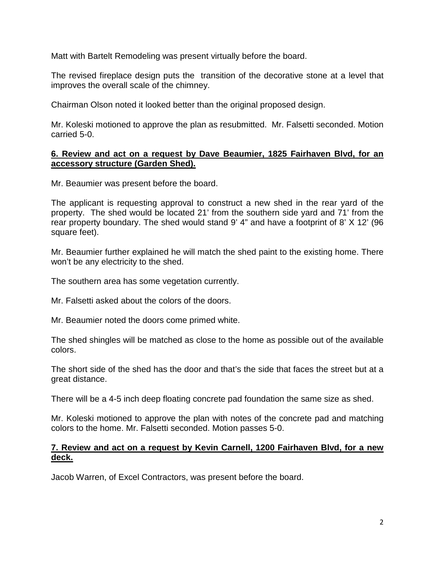Matt with Bartelt Remodeling was present virtually before the board.

The revised fireplace design puts the transition of the decorative stone at a level that improves the overall scale of the chimney.

Chairman Olson noted it looked better than the original proposed design.

Mr. Koleski motioned to approve the plan as resubmitted. Mr. Falsetti seconded. Motion carried 5-0.

#### **6. Review and act on a request by Dave Beaumier, 1825 Fairhaven Blvd, for an accessory structure (Garden Shed).**

Mr. Beaumier was present before the board.

The applicant is requesting approval to construct a new shed in the rear yard of the property. The shed would be located 21' from the southern side yard and 71' from the rear property boundary. The shed would stand 9' 4" and have a footprint of 8' X 12' (96 square feet).

Mr. Beaumier further explained he will match the shed paint to the existing home. There won't be any electricity to the shed.

The southern area has some vegetation currently.

Mr. Falsetti asked about the colors of the doors.

Mr. Beaumier noted the doors come primed white.

The shed shingles will be matched as close to the home as possible out of the available colors.

The short side of the shed has the door and that's the side that faces the street but at a great distance.

There will be a 4-5 inch deep floating concrete pad foundation the same size as shed.

Mr. Koleski motioned to approve the plan with notes of the concrete pad and matching colors to the home. Mr. Falsetti seconded. Motion passes 5-0.

### **7. Review and act on a request by Kevin Carnell, 1200 Fairhaven Blvd, for a new deck.**

Jacob Warren, of Excel Contractors, was present before the board.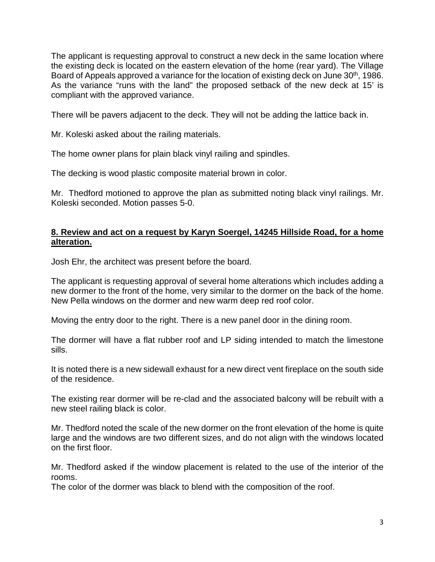The applicant is requesting approval to construct a new deck in the same location where the existing deck is located on the eastern elevation of the home (rear yard). The Village Board of Appeals approved a variance for the location of existing deck on June 30<sup>th</sup>, 1986. As the variance "runs with the land" the proposed setback of the new deck at 15' is compliant with the approved variance.

There will be pavers adjacent to the deck. They will not be adding the lattice back in.

Mr. Koleski asked about the railing materials.

The home owner plans for plain black vinyl railing and spindles.

The decking is wood plastic composite material brown in color.

Mr. Thedford motioned to approve the plan as submitted noting black vinyl railings. Mr. Koleski seconded. Motion passes 5-0.

#### **8. Review and act on a request by Karyn Soergel, 14245 Hillside Road, for a home alteration.**

Josh Ehr, the architect was present before the board.

The applicant is requesting approval of several home alterations which includes adding a new dormer to the front of the home, very similar to the dormer on the back of the home. New Pella windows on the dormer and new warm deep red roof color.

Moving the entry door to the right. There is a new panel door in the dining room.

The dormer will have a flat rubber roof and LP siding intended to match the limestone sills.

It is noted there is a new sidewall exhaust for a new direct vent fireplace on the south side of the residence.

The existing rear dormer will be re-clad and the associated balcony will be rebuilt with a new steel railing black is color.

Mr. Thedford noted the scale of the new dormer on the front elevation of the home is quite large and the windows are two different sizes, and do not align with the windows located on the first floor.

Mr. Thedford asked if the window placement is related to the use of the interior of the rooms.

The color of the dormer was black to blend with the composition of the roof.